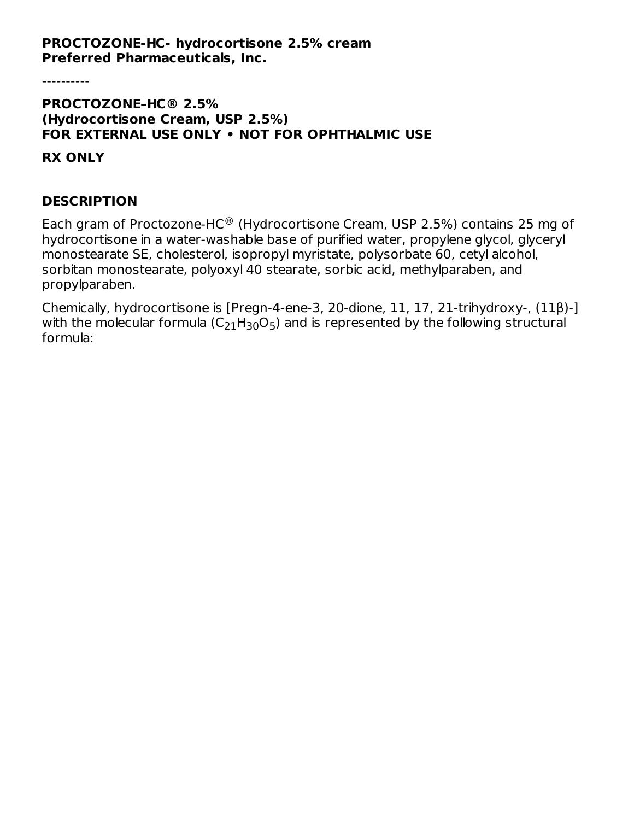#### **PROCTOZONE-HC- hydrocortisone 2.5% cream Preferred Pharmaceuticals, Inc.**

----------

#### **PROCTOZONE–HC® 2.5% (Hydrocortisone Cream, USP 2.5%) FOR EXTERNAL USE ONLY • NOT FOR OPHTHALMIC USE**

#### **RX ONLY**

#### **DESCRIPTION**

Each gram of Proctozone-HC $^{\circledR}$  (Hydrocortisone Cream, USP 2.5%) contains 25 mg of hydrocortisone in a water-washable base of purified water, propylene glycol, glyceryl monostearate SE, cholesterol, isopropyl myristate, polysorbate 60, cetyl alcohol, sorbitan monostearate, polyoxyl 40 stearate, sorbic acid, methylparaben, and propylparaben.

Chemically, hydrocortisone is [Pregn-4-ene-3, 20-dione, 11, 17, 21-trihydroxy-, (11β)-] with the molecular formula (C $_{21}$ H $_{30}$ O $_{5}$ ) and is represented by the following structural formula: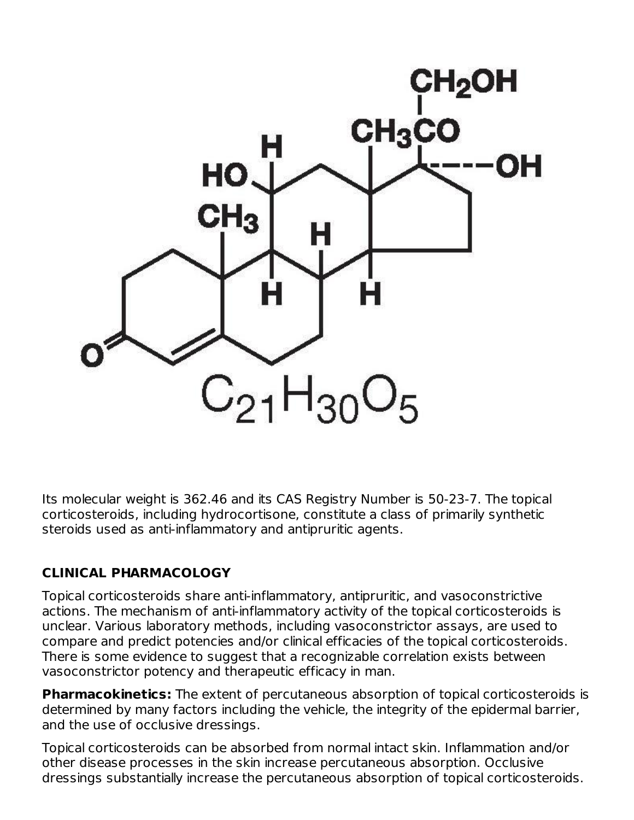

Its molecular weight is 362.46 and its CAS Registry Number is 50-23-7. The topical corticosteroids, including hydrocortisone, constitute a class of primarily synthetic steroids used as anti-inflammatory and antipruritic agents.

# **CLINICAL PHARMACOLOGY**

Topical corticosteroids share anti-inflammatory, antipruritic, and vasoconstrictive actions. The mechanism of anti-inflammatory activity of the topical corticosteroids is unclear. Various laboratory methods, including vasoconstrictor assays, are used to compare and predict potencies and/or clinical efficacies of the topical corticosteroids. There is some evidence to suggest that a recognizable correlation exists between vasoconstrictor potency and therapeutic efficacy in man.

**Pharmacokinetics:** The extent of percutaneous absorption of topical corticosteroids is determined by many factors including the vehicle, the integrity of the epidermal barrier, and the use of occlusive dressings.

Topical corticosteroids can be absorbed from normal intact skin. Inflammation and/or other disease processes in the skin increase percutaneous absorption. Occlusive dressings substantially increase the percutaneous absorption of topical corticosteroids.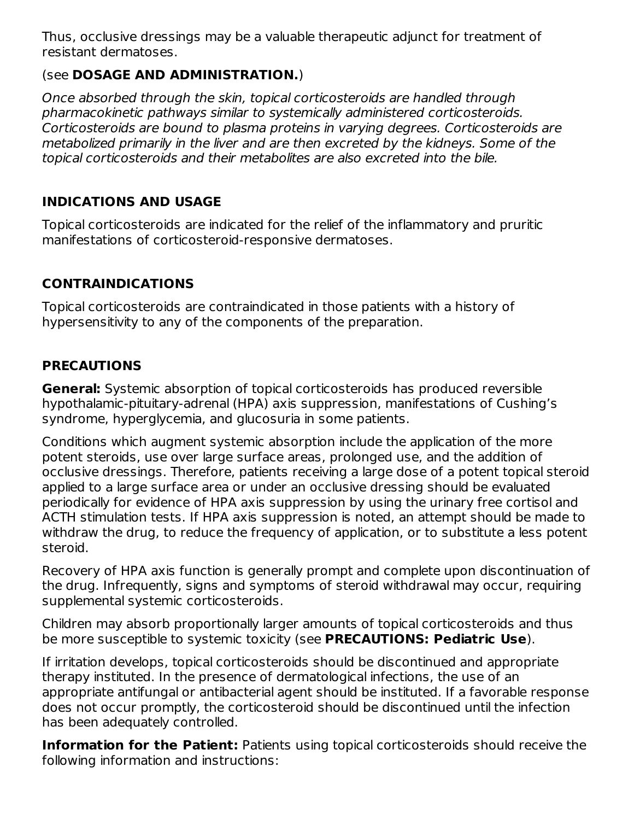Thus, occlusive dressings may be a valuable therapeutic adjunct for treatment of resistant dermatoses.

### (see **DOSAGE AND ADMINISTRATION.**)

Once absorbed through the skin, topical corticosteroids are handled through pharmacokinetic pathways similar to systemically administered corticosteroids. Corticosteroids are bound to plasma proteins in varying degrees. Corticosteroids are metabolized primarily in the liver and are then excreted by the kidneys. Some of the topical corticosteroids and their metabolites are also excreted into the bile.

### **INDICATIONS AND USAGE**

Topical corticosteroids are indicated for the relief of the inflammatory and pruritic manifestations of corticosteroid-responsive dermatoses.

### **CONTRAINDICATIONS**

Topical corticosteroids are contraindicated in those patients with a history of hypersensitivity to any of the components of the preparation.

### **PRECAUTIONS**

**General:** Systemic absorption of topical corticosteroids has produced reversible hypothalamic-pituitary-adrenal (HPA) axis suppression, manifestations of Cushing's syndrome, hyperglycemia, and glucosuria in some patients.

Conditions which augment systemic absorption include the application of the more potent steroids, use over large surface areas, prolonged use, and the addition of occlusive dressings. Therefore, patients receiving a large dose of a potent topical steroid applied to a large surface area or under an occlusive dressing should be evaluated periodically for evidence of HPA axis suppression by using the urinary free cortisol and ACTH stimulation tests. If HPA axis suppression is noted, an attempt should be made to withdraw the drug, to reduce the frequency of application, or to substitute a less potent steroid.

Recovery of HPA axis function is generally prompt and complete upon discontinuation of the drug. Infrequently, signs and symptoms of steroid withdrawal may occur, requiring supplemental systemic corticosteroids.

Children may absorb proportionally larger amounts of topical corticosteroids and thus be more susceptible to systemic toxicity (see **PRECAUTIONS: Pediatric Use**).

If irritation develops, topical corticosteroids should be discontinued and appropriate therapy instituted. In the presence of dermatological infections, the use of an appropriate antifungal or antibacterial agent should be instituted. If a favorable response does not occur promptly, the corticosteroid should be discontinued until the infection has been adequately controlled.

**Information for the Patient:** Patients using topical corticosteroids should receive the following information and instructions: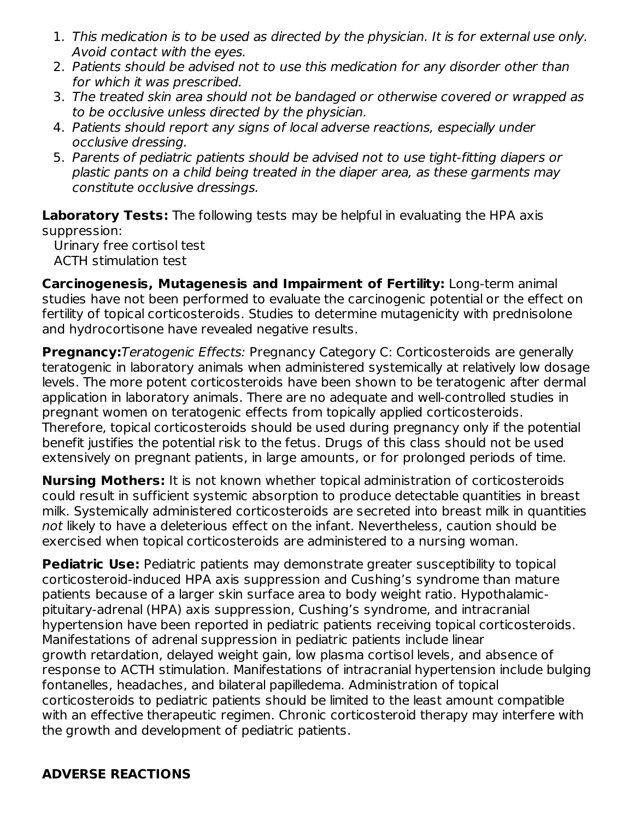- 1. This medication is to be used as directed by the physician. It is for external use only. Avoid contact with the eyes.
- 2. Patients should be advised not to use this medication for any disorder other than for which it was prescribed.
- 3. The treated skin area should not be bandaged or otherwise covered or wrapped as to be occlusive unless directed by the physician.
- 4. Patients should report any signs of local adverse reactions, especially under occlusive dressing.
- 5. Parents of pediatric patients should be advised not to use tight-fitting diapers or plastic pants on a child being treated in the diaper area, as these garments may constitute occlusive dressings.

**Laboratory Tests:** The following tests may be helpful in evaluating the HPA axis suppression:

Urinary free cortisol test ACTH stimulation test

**Carcinogenesis, Mutagenesis and Impairment of Fertility:** Long-term animal studies have not been performed to evaluate the carcinogenic potential or the effect on fertility of topical corticosteroids. Studies to determine mutagenicity with prednisolone and hydrocortisone have revealed negative results.

**Pregnancy:**Teratogenic Effects: Pregnancy Category C: Corticosteroids are generally teratogenic in laboratory animals when administered systemically at relatively low dosage levels. The more potent corticosteroids have been shown to be teratogenic after dermal application in laboratory animals. There are no adequate and well-controlled studies in pregnant women on teratogenic effects from topically applied corticosteroids. Therefore, topical corticosteroids should be used during pregnancy only if the potential benefit justifies the potential risk to the fetus. Drugs of this class should not be used extensively on pregnant patients, in large amounts, or for prolonged periods of time.

**Nursing Mothers:** It is not known whether topical administration of corticosteroids could result in sufficient systemic absorption to produce detectable quantities in breast milk. Systemically administered corticosteroids are secreted into breast milk in quantities not likely to have a deleterious effect on the infant. Nevertheless, caution should be exercised when topical corticosteroids are administered to a nursing woman.

**Pediatric Use:** Pediatric patients may demonstrate greater susceptibility to topical corticosteroid-induced HPA axis suppression and Cushing's syndrome than mature patients because of a larger skin surface area to body weight ratio. Hypothalamicpituitary-adrenal (HPA) axis suppression, Cushing's syndrome, and intracranial hypertension have been reported in pediatric patients receiving topical corticosteroids. Manifestations of adrenal suppression in pediatric patients include linear growth retardation, delayed weight gain, low plasma cortisol levels, and absence of response to ACTH stimulation. Manifestations of intracranial hypertension include bulging fontanelles, headaches, and bilateral papilledema. Administration of topical corticosteroids to pediatric patients should be limited to the least amount compatible with an effective therapeutic regimen. Chronic corticosteroid therapy may interfere with the growth and development of pediatric patients.

#### **ADVERSE REACTIONS**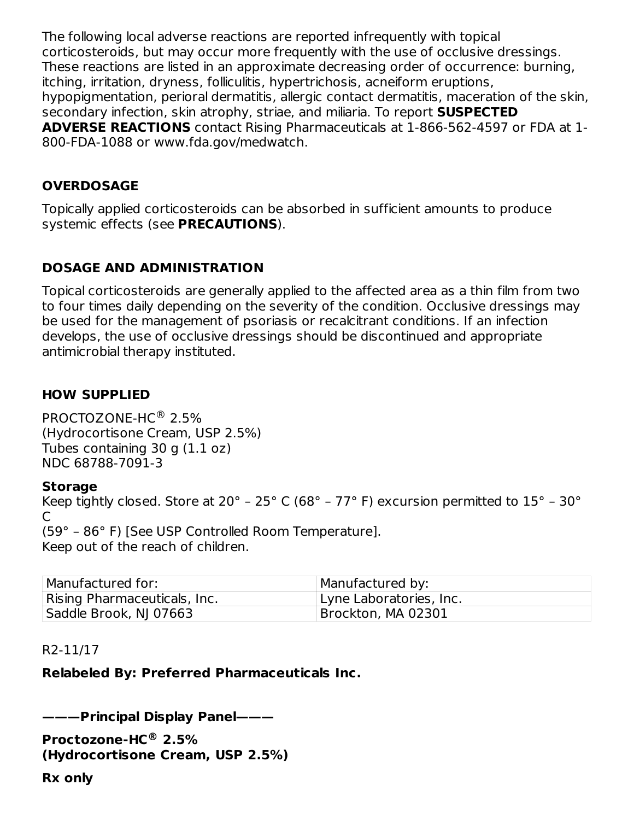The following local adverse reactions are reported infrequently with topical corticosteroids, but may occur more frequently with the use of occlusive dressings. These reactions are listed in an approximate decreasing order of occurrence: burning, itching, irritation, dryness, folliculitis, hypertrichosis, acneiform eruptions, hypopigmentation, perioral dermatitis, allergic contact dermatitis, maceration of the skin, secondary infection, skin atrophy, striae, and miliaria. To report **SUSPECTED ADVERSE REACTIONS** contact Rising Pharmaceuticals at 1-866-562-4597 or FDA at 1- 800-FDA-1088 or www.fda.gov/medwatch.

### **OVERDOSAGE**

Topically applied corticosteroids can be absorbed in sufficient amounts to produce systemic effects (see **PRECAUTIONS**).

### **DOSAGE AND ADMINISTRATION**

Topical corticosteroids are generally applied to the affected area as a thin film from two to four times daily depending on the severity of the condition. Occlusive dressings may be used for the management of psoriasis or recalcitrant conditions. If an infection develops, the use of occlusive dressings should be discontinued and appropriate antimicrobial therapy instituted.

#### **HOW SUPPLIED**

PROCTOZONE-HC<sup>®</sup> 2.5% (Hydrocortisone Cream, USP 2.5%) Tubes containing 30 g (1.1 oz) NDC 68788-7091-3

#### **Storage**

Keep tightly closed. Store at 20 $^{\circ}$  – 25 $^{\circ}$  C (68 $^{\circ}$  – 77 $^{\circ}$  F) excursion permitted to 15 $^{\circ}$  – 30 $^{\circ}$ C (59° – 86° F) [See USP Controlled Room Temperature]. Keep out of the reach of children.

| Manufactured for:            | Manufactured by:        |
|------------------------------|-------------------------|
| Rising Pharmaceuticals, Inc. | Lyne Laboratories, Inc. |
| Saddle Brook, NJ 07663       | Brockton, MA 02301      |

#### R2-11/17

#### **Relabeled By: Preferred Pharmaceuticals Inc.**

**———Principal Display Panel———**

**Proctozone-HC 2.5% ®(Hydrocortisone Cream, USP 2.5%)**

#### **Rx only**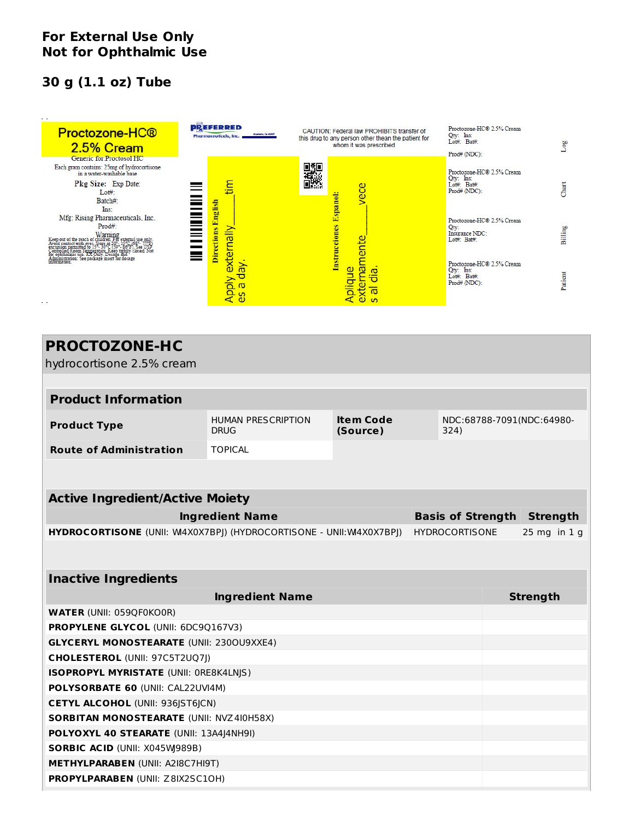### **For External Use Only Not for Ophthalmic Use**

# **30 g (1.1 oz) Tube**

 $\sim$   $\sim$ 

| Proctozone-HC <sup>®</sup><br>2.5% Cream                                                                                                                                                                                                                                                                                                                                                                              | <b>PREFERRED</b><br>Available, Ca 82807<br><b>Pharmaceuticals, Inc.</b> | CAUTION: Federal law PROHIBITS transfer of<br>this drug to any person other thean the patient for<br>whom it was prescribed | Proctozone-HC® 2.5% Cream<br>Qty: Ins:<br>Lot#: Bat#:<br>Prod# (NDC): | Log     |
|-----------------------------------------------------------------------------------------------------------------------------------------------------------------------------------------------------------------------------------------------------------------------------------------------------------------------------------------------------------------------------------------------------------------------|-------------------------------------------------------------------------|-----------------------------------------------------------------------------------------------------------------------------|-----------------------------------------------------------------------|---------|
| Generic for:Proctosol HC<br>Each gram contains: 25mg of hydrocortisone<br>in a water-washable base<br>Pkg Size: Exp Date:<br>Loff:<br>Batch#:                                                                                                                                                                                                                                                                         | 旨<br>Ξ                                                                  | 驧識<br>vece<br>Espanol                                                                                                       | Proctozone-HC® 2.5% Cream<br>Qty: Ins:<br>Lot#: Bat#:<br>Prod# (NDC): | Chart   |
| Ins:<br>Mfg: Rising Pharmaceuticals, Inc.<br>Prod#:<br>$\begin{array}{c} \textbf{Warning} \\ \textbf{Key out of the reach of children.} \\ \textbf{Avoid contact with eyes}, \textbf{Sve,} 100--300\_205\_000\_205\_000\_205\_000\_205\_000\_205\_000\_205\_000\_205\_000\_205\_000\_205\_000\_205\_000\_205\_000\_205\_000\_205\_000\_205\_000\_205\_000\_205\_000\_205\_000\_205\_000\_205\_000\_205\_000\_205\_00$ | Directions English<br>$\bar{\mathbf{u}}$<br>externally                  | ciones<br>ente                                                                                                              | Proctozone-HC® 2.5% Cream<br>Qty:<br>Insurance NDC:<br>Lot#: Bat#:    | Billing |
| <b>formation</b><br>. .                                                                                                                                                                                                                                                                                                                                                                                               | day<br><b>Apply</b><br>$\sigma$<br>8                                    | <b>Instru</b><br>Б<br>ō<br>pliqu<br>ರ<br>൹<br>$\mathsf{C}$                                                                  | Proctozone-HC® 2.5% Cream<br>Qty: Ins:<br>Lot#: Bat#:<br>Prod# (NDC): | Patient |

| <b>PROCTOZONE-HC</b> |  |  |
|----------------------|--|--|
|----------------------|--|--|

hydrocortisone 2.5% cream

| <b>Product Information</b>                                          |                                          |                              |  |                                   |                  |
|---------------------------------------------------------------------|------------------------------------------|------------------------------|--|-----------------------------------|------------------|
| <b>Product Type</b>                                                 | <b>HUMAN PRESCRIPTION</b><br><b>DRUG</b> | <b>Item Code</b><br>(Source) |  | NDC:68788-7091(NDC:64980-<br>324) |                  |
| <b>Route of Administration</b>                                      | <b>TOPICAL</b>                           |                              |  |                                   |                  |
|                                                                     |                                          |                              |  |                                   |                  |
| <b>Active Ingredient/Active Moiety</b>                              |                                          |                              |  |                                   |                  |
|                                                                     | <b>Ingredient Name</b>                   |                              |  | <b>Basis of Strength</b>          | <b>Strength</b>  |
| HYDROCORTISONE (UNII: W4X0X7BPJ) (HYDROCORTISONE - UNII: W4X0X7BPJ) |                                          |                              |  | <b>HYDROCORTISONE</b>             | $25$ mg in $1$ g |
|                                                                     |                                          |                              |  |                                   |                  |
| <b>Inactive Ingredients</b>                                         |                                          |                              |  |                                   |                  |
| <b>Ingredient Name</b>                                              |                                          |                              |  | <b>Strength</b>                   |                  |
| <b>WATER (UNII: 059QF0KO0R)</b>                                     |                                          |                              |  |                                   |                  |
| <b>PROPYLENE GLYCOL (UNII: 6DC90167V3)</b>                          |                                          |                              |  |                                   |                  |
| <b>GLYCERYL MONOSTEARATE (UNII: 2300U9XXE4)</b>                     |                                          |                              |  |                                   |                  |
| CHOLESTEROL (UNII: 97C5T2UQ7J)                                      |                                          |                              |  |                                   |                  |
| <b>ISOPROPYL MYRISTATE (UNII: ORE8K4LNJS)</b>                       |                                          |                              |  |                                   |                  |
| POLYSORBATE 60 (UNII: CAL22UVI4M)                                   |                                          |                              |  |                                   |                  |
| <b>CETYL ALCOHOL (UNII: 936JST6JCN)</b>                             |                                          |                              |  |                                   |                  |
| <b>SORBITAN MONOSTEARATE (UNII: NVZ 410H58X)</b>                    |                                          |                              |  |                                   |                  |
| POLYOXYL 40 STEARATE (UNII: 13A4J4NH9I)                             |                                          |                              |  |                                   |                  |
| <b>SORBIC ACID (UNII: X045W989B)</b>                                |                                          |                              |  |                                   |                  |
| <b>METHYLPARABEN (UNII: A2I8C7HI9T)</b>                             |                                          |                              |  |                                   |                  |
| PROPYLPARABEN (UNII: Z8IX2SC10H)                                    |                                          |                              |  |                                   |                  |